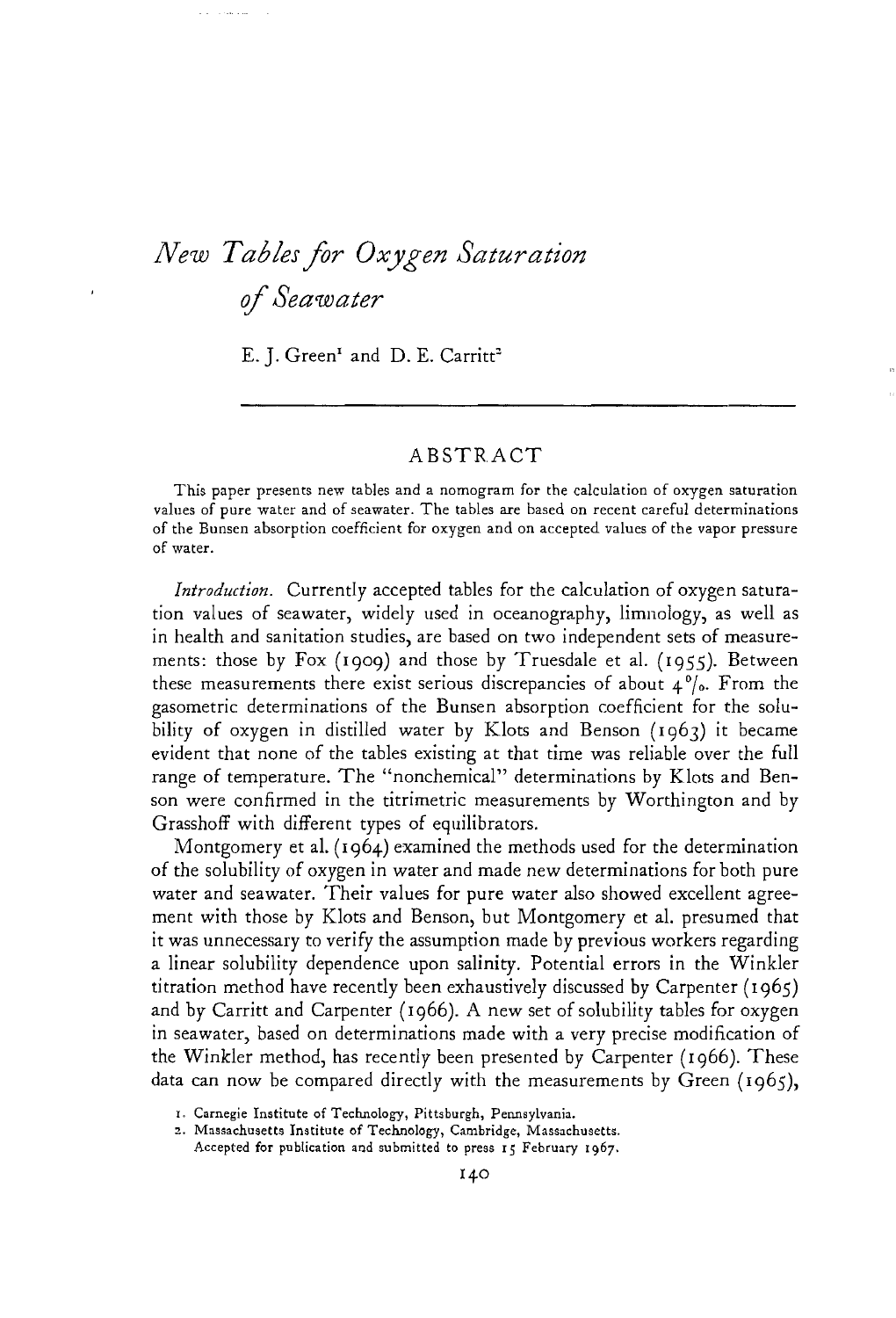## *New Tables for Oxygen Saturation ifSeawater*

and the company's

E. J. Green<sup>1</sup> and D. E. Carritt<sup>2</sup>

## ABSTR.ACT

This paper presents new tables and a nomogram for the calculation of oxygen saturation values of pure water and of seawater. The tables are based on recent careful determinations of the Bunsen absorption coefficient for oxygen and on accepted values of the vapor pressure of water.

*Introduction.* Currently accepted tables for the calculation of oxygen saturation values of seawater, widely used in oceanography, limnology, as well as in health and sanitation studies, are based on two independent sets of measurements: those by Fox (1909) and those by Truesdale et al. (1955). Between these measurements there exist serious discrepancies of about <sup>4</sup>*0/0.* From the gasometric determinations of the Bunsen absorption coefficient for the solubility of oxygen in distilled water by Klots and Benson (1963) it became evident that none of the tables existing at that time was reliable over the full range of temperature. The "nonchemical" determinations by KJots and Benson were confirmed in the titrimetric measurements by Worthington and by Grasshoff with different types of equilibrators.

Montgomery et aL (1964) examined the methods used for the determination of the solubility of oxygen in water and made new determinations for both pure water and seawater. Their values for pure water also showed excellent agreement with those by Klots and Benson, but Montgomery et al. presumed that it was unnecessary to verify the assumption made by previous workers regarding a linear solubility dependence upon salinity. Potential errors in the Winkler titration method have recently been exhaustively discussed by Carpenter (1965) and by Carritt and Carpenter (1966). A new set of solubility tables for oxygen in seawater, based on determinations made with a very precise modification of the Winkler method, has recently been presented by Carpenter (1966). These data can now be compared directly with the measurements by Green (1965),

2. Massachusetts Institute of Technology, Cambridge, Massachusetts. Accepted for publication and submitted to press 15 February 1967.

I. Carnegie Institute of Technology, Pittsburgh, Pennsylvania.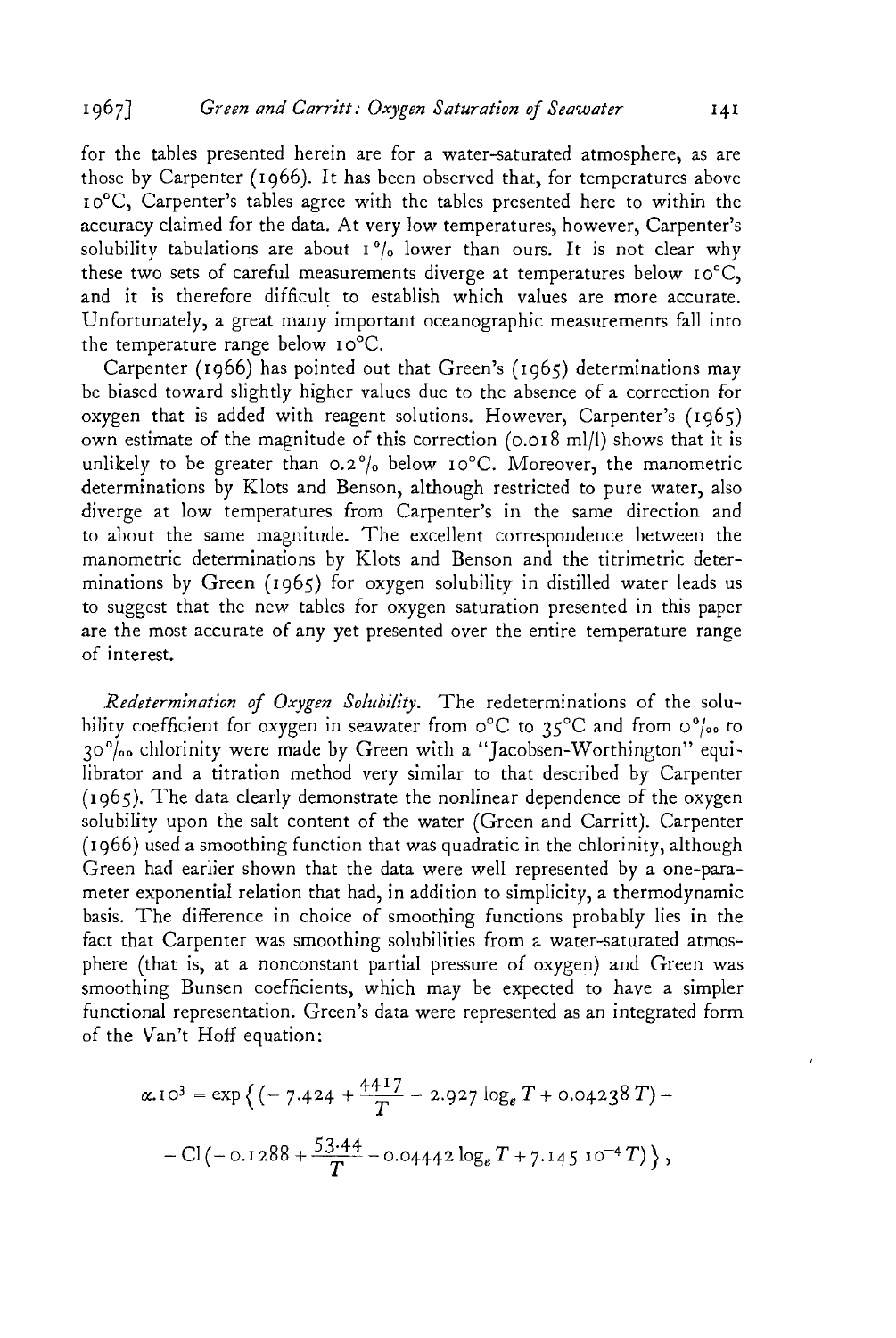for the tables presented herein are for a water-saturated atmosphere, as are those by Carpenter (1966). It has been observed that, for temperatures above 10°C, Carpenter's tables agree with the tables presented here to within the accuracy claimed for the data. At very low temperatures, however, Carpenter's solubility tabulations are about  $1\frac{9}{6}$  lower than ours. It is not clear why these two sets of careful measurements diverge at temperatures below  $10^{\circ}$ C, and it is therefore difficult to establish which values are more accurate. Unfortunately, a great many important oceanographic measurements fall into the temperature range below  $10^{\circ}$ C.

Carpenter (1966) has pointed out that Green's (1965) determinations may be biased toward slightly higher values due to the absence of a correction for oxygen that is added with reagent solutions. However, Carpenter's (1965) own estimate of the magnitude of this correction (0.018 ml/l) shows that it is unlikely to be greater than  $0.2\%$  below  $10^{\circ}$ C. Moreover, the manometric determinations by Klots and Benson, although restricted to pure water, also diverge at low temperatures from Carpenter's in the same direction and to about the same magnitude. The excellent correspondence between the manometric determinations by Klots and Benson and the titrimetric determinations by Green (1965) for oxygen solubility in distilled water leads us to suggest that the new tables for oxygen saturation presented in this paper are the most accurate of any yet presented over the entire temperature range of interest.

*.R.edetermination of Oxygen Solubility.* The redeterminations of the solubility coefficient for oxygen in seawater from  $\circ^{\circ}C$  to 35°C and from  $\circ^{\circ}/_{\circ}$  to  $30\%$  chlorinity were made by Green with a "Jacobsen-Worthington" equilibrator and a titration method very similar to that described by Carpenter  $(1965)$ . The data clearly demonstrate the nonlinear dependence of the oxygen solubility upon the salt content of the water (Green and Carritt). Carpenter (1966) used a smoothing function that was quadratic in the chlorinity, although Green had earlier shown that the data were well represented by a one-parameter exponential relation that had, in addition to simplicity, a thermodynamic basis. The difference in choice of smoothing functions probably lies in the fact that Carpenter was smoothing solubilities from a water-saturated atmosphere (that is, at a nonconstant partial pressure of oxygen) and Green was smoothing Bunsen coefficients, which may be expected to have a simpler functional representation. Green's data were represented as an integrated form of the Van't Hoff equation:

$$
\alpha.10^3 = \exp\left\{ \left( -7.424 + \frac{4417}{T} - 2.927 \log_e T + 0.04238 \, T \right) - \right. \\ - \left. \frac{\text{Cl}}{\text{C}} \left( -0.1288 + \frac{53.44}{T} - 0.04442 \log_e T + 7.145 \, 10^{-4} \, T \right) \right\},
$$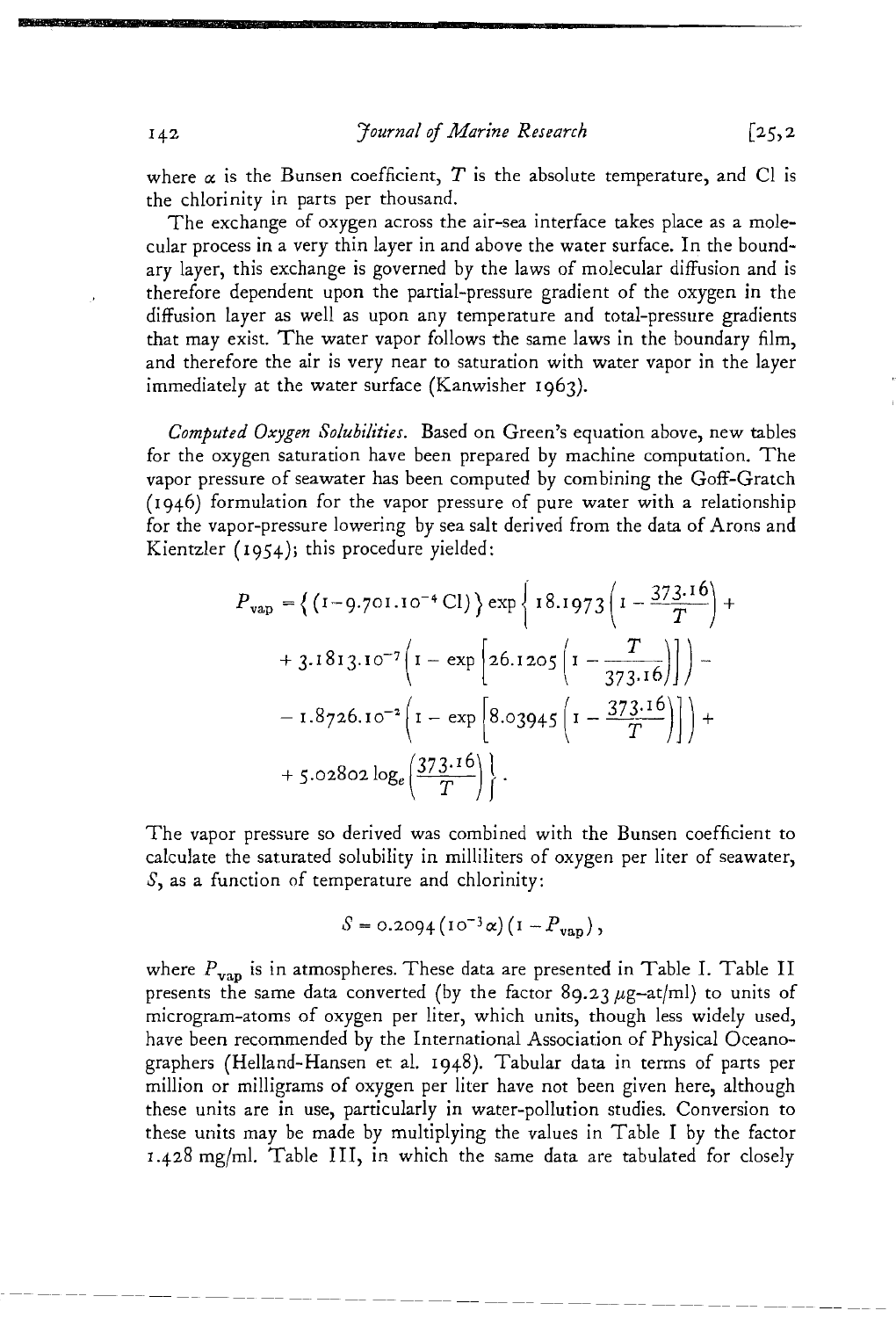where  $\alpha$  is the Bunsen coefficient,  $T$  is the absolute temperature, and Cl is the chlorinity in parts per thousand.

The exchange of oxygen across the air-sea interface takes place as a molecular process in a very thin layer in and above the water surface. In the boundary layer, this exchange is governed by the laws of molecular diffusion and is therefore dependent upon the partial-pressure gradient of the oxygen in the diffusion layer as well as upon any temperature and total-pressure gradients that may exist. The water vapor follows the same laws in the boundary film, and therefore the air is very near to saturation with water vapor in the layer immediately at the water surface (Kanwisher 1963).

*Computed Oxygen Solubilities..* Based on Green's equation above, new tables for the oxygen saturation have been prepared by machine computation.. The vapor pressure of seawater has been computed by combining the Goff-Gratch  $(1946)$  formulation for the vapor pressure of pure water with a relationship for the vapor-pressure lowering by sea salt derived from the data of Arons and Kientzler (1954); this procedure yielded:

$$
P_{\text{vap}} = \left\{ (1-9.701.10^{-4} \text{ Cl}) \right\} \exp \left\{ 18.1973 \left( 1 - \frac{373.16}{T} \right) + 3.1813.10^{-7} \left( 1 - \exp \left[ 26.1205 \left( 1 - \frac{T}{373.16} \right) \right] \right) - 1.8726.10^{-2} \left( 1 - \exp \left[ 8.03945 \left( 1 - \frac{373.16}{T} \right) \right] \right) + 5.02802 \log_e \left( \frac{373.16}{T} \right) \right\}.
$$

The vapor pressure so derived was combined with the Bunsen coefficient to calculate the saturated solubility in milliliters of oxygen per liter of seawater, *S,* as a function of temperature and chlorinity:

$$
S = 0.2094 (10^{-3}\alpha)(1 - P_{vap}),
$$

where  $P_{\text{van}}$  is in atmospheres. These data are presented in Table I. Table II presents the same data converted (by the factor 89.23  $\mu$ g-at/ml) to units of microgram-atoms of oxygen per liter, which units, though less widely used, have been recommended by the International Association of Physical Oceanographers (Helland-Hansen et al. 1948). Tabular data in terms of parts per million or milligrams of oxygen per liter have not been given here, although these units are in use, particularly in water-pollution studies.. Conversion to these units may be made by multiplying the values in Table I by the factor  $1.428$  mg/ml. Table III, in which the same data are tabulated for closely

•

 $[25, 2]$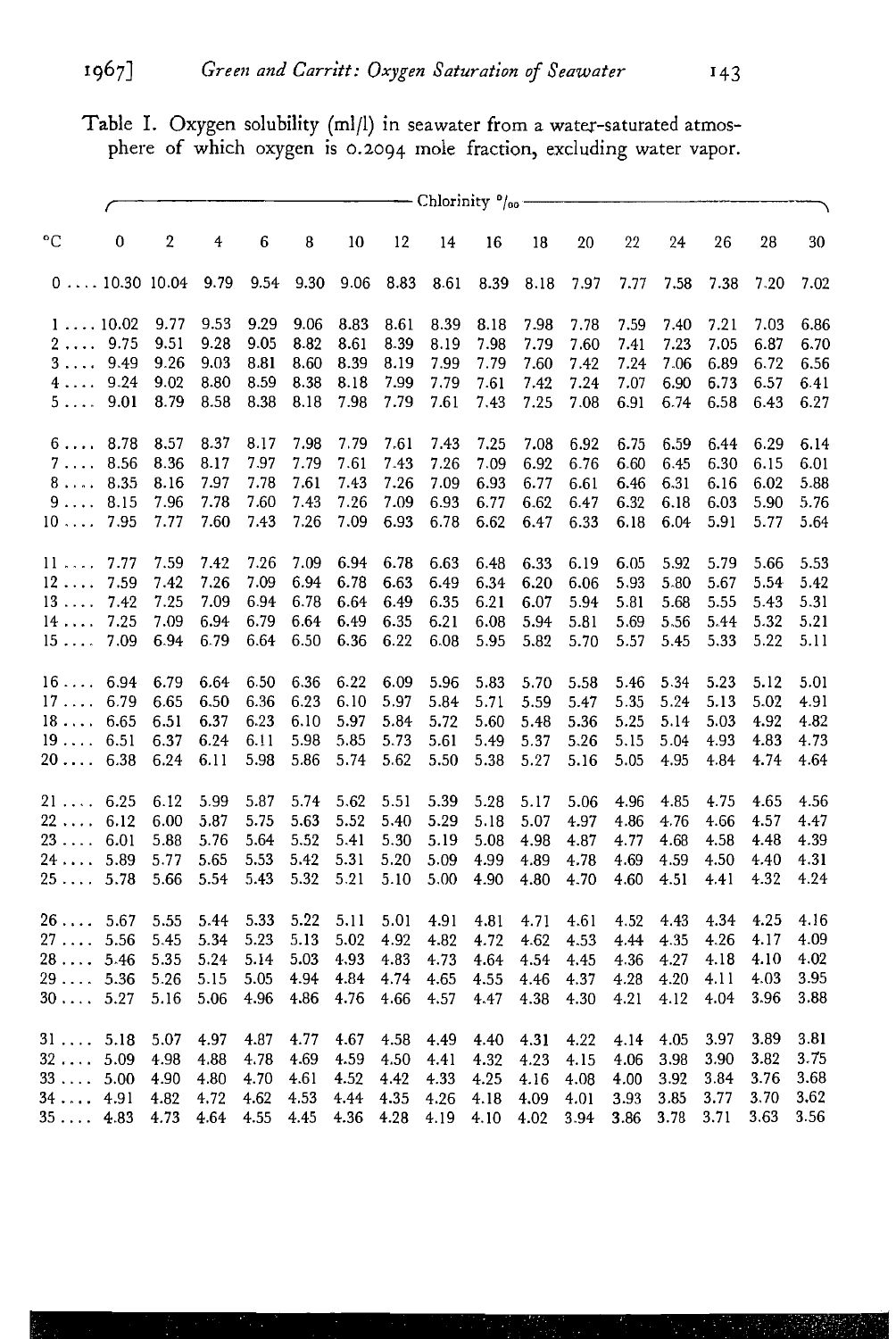Table I. Oxygen solubility (mIll) in seawater from a water-saturated atmosphere of which oxygen is 0.2094 Inole fraction, excluding water vapor.

|                  |             | $-$ Chlorinity $^0$ <sub>/00</sub> – |      |      |      |      |      |      |      |      |      |      |      |      |      |      |
|------------------|-------------|--------------------------------------|------|------|------|------|------|------|------|------|------|------|------|------|------|------|
| $^{\circ}C$      | 0           | $\boldsymbol{2}$                     | 4    | 6    | 8    | 10   | 12   | 14   | 16   | 18   | 20   | 22   | 24   | 26   | 28   | 30   |
|                  | 010.3010.04 |                                      | 9.79 | 9.54 | 9.30 | 9.06 | 8.83 | 8.61 | 8.39 | 8.18 | 7.97 | 7.77 | 7.58 | 7.38 | 7.20 | 7.02 |
| $1 \ldots 10.02$ |             | 9.77                                 | 9.53 | 9.29 | 9.06 | 8.83 | 8.61 | 8.39 | 8.18 | 7.98 | 7.78 | 7.59 | 7.40 | 7.21 | 7.03 | 6.86 |
| 29.75            |             | 9.51                                 | 9.28 | 9.05 | 8.82 | 8.61 | 8.39 | 8.19 | 7.98 | 7.79 | 7.60 | 7.41 | 7.23 | 7.05 | 6.87 | 6.70 |
| 3                | 9.49        | 9.26                                 | 9.03 | 8.81 | 8.60 | 8.39 | 8.19 | 7.99 | 7.79 | 7.60 | 7.42 | 7.24 | 7.06 | 6.89 | 6.72 | 6.56 |
| 4                | 9.24        | 9.02                                 | 8.80 | 8.59 | 8.38 | 8.18 | 7.99 | 7.79 | 7.61 | 7.42 | 7.24 | 7.07 | 6.90 | 6.73 | 6.57 | 6.41 |
| 5                | 9.01        | 8.79                                 | 8.58 | 8.38 | 8.18 | 7.98 | 7.79 | 7.61 | 7.43 | 7.25 | 7.08 | 6.91 | 6.74 | 6.58 | 6.43 | 6.27 |
| 6 8.78           |             | 8.57                                 | 8.37 | 8.17 | 7.98 | 7.79 | 7.61 | 7.43 | 7.25 | 7.08 | 6.92 | 6.75 | 6.59 | 6.44 | 6.29 | 6.14 |
| 7.               | 8.56        | 8.36                                 | 8.17 | 7.97 | 7.79 | 7.61 | 7.43 | 7.26 | 7.09 | 6.92 | 6.76 | 6.60 | 6.45 | 6.30 | 6.15 | 6.01 |
| 8                | 8.35        | 8.16                                 | 7.97 | 7.78 | 7.61 | 7.43 | 7.26 | 7.09 | 6.93 | 6.77 | 6.61 | 6.46 | 6.31 | 6.16 | 6.02 | 5.88 |
| $9 \ldots$       | 8.15        | 7.96                                 | 7.78 | 7.60 | 7.43 | 7.26 | 7.09 | 6.93 | 6.77 | 6.62 | 6.47 | 6.32 | 6.18 | 6.03 | 5.90 | 5.76 |
| $10 \ldots$      | 7.95        | 7.77                                 | 7.60 | 7.43 | 7.26 | 7.09 | 6.93 | 6.78 | 6.62 | 6.47 | 6.33 | 6.18 | 6.04 | 5.91 | 5.77 | 5.64 |
| 11               | 7.77        | 7.59                                 | 7.42 | 7.26 | 7.09 | 6.94 | 6.78 | 6.63 | 6.48 | 6.33 | 6.19 | 6.05 | 5.92 | 5.79 | 5.66 | 5.53 |
| $12 \ldots$      | 7.59        | 7.42                                 | 7.26 | 7.09 | 6.94 | 6.78 | 6.63 | 6.49 | 6.34 | 6.20 | 6.06 | 5.93 | 5.80 | 5.67 | 5.54 | 5.42 |
| $13 \ldots$      | 7.42        | 7.25                                 | 7.09 | 6.94 | 6.78 | 6.64 | 6.49 | 6.35 | 6.21 | 6.07 | 5.94 | 5.81 | 5.68 | 5.55 | 5.43 | 5.31 |
| 14               | 7.25        | 7.09                                 | 6.94 | 6.79 | 6.64 | 6.49 | 6.35 | 6.21 | 6.08 | 5.94 | 5.81 | 5.69 | 5.56 | 5.44 | 5.32 | 5.21 |
| 15               | 7.09        | 6.94                                 | 6.79 | 6.64 | 6.50 | 6.36 | 6.22 | 6.08 | 5.95 | 5.82 | 5.70 | 5.57 | 5.45 | 5.33 | 5.22 | 5.11 |
| 16 6.94          |             | 6.79                                 | 6.64 | 6.50 | 6.36 | 6.22 | 6.09 | 5.96 | 5.83 | 5.70 | 5.58 | 5.46 | 5.34 | 5.23 | 5.12 | 5.01 |
| $17 \ldots$      | 6.79        | 6.65                                 | 6.50 | 6.36 | 6.23 | 6.10 | 5.97 | 5.84 | 5.71 | 5.59 | 5.47 | 5.35 | 5.24 | 5.13 | 5.02 | 4.91 |
| 18               | 6.65        | 6.51                                 | 6.37 | 6.23 | 6.10 | 5.97 | 5.84 | 5.72 | 5.60 | 5.48 | 5.36 | 5.25 | 5.14 | 5.03 | 4.92 | 4.82 |
| $19 \ldots$      | 6.51        | 6.37                                 | 6.24 | 6.11 | 5.98 | 5.85 | 5.73 | 5.61 | 5.49 | 5.37 | 5.26 | 5.15 | 5.04 | 4.93 | 4.83 | 4.73 |
| 20               | 6.38        | 6.24                                 | 6.11 | 5.98 | 5.86 | 5.74 | 5.62 | 5.50 | 5.38 | 5.27 | 5.16 | 5.05 | 4.95 | 4.84 | 4.74 | 4.64 |
| 21 6.25          |             | 6.12                                 | 5.99 | 5.87 | 5.74 | 5.62 | 5.51 | 5.39 | 5.28 | 5.17 | 5.06 | 4.96 | 4.85 | 4.75 | 4.65 | 4.56 |
| 22               | 6.12        | 6.00                                 | 5.87 | 5.75 | 5.63 | 5.52 | 5.40 | 5.29 | 5.18 | 5.07 | 4.97 | 4.86 | 4.76 | 4.66 | 4.57 | 4.47 |
| 23               | 6.01        | 5.88                                 | 5.76 | 5.64 | 5.52 | 5.41 | 5.30 | 5.19 | 5.08 | 4.98 | 4.87 | 4.77 | 4.68 | 4.58 | 4.48 | 4.39 |
| 24               | 5.89        | 5.77                                 | 5.65 | 5.53 | 5.42 | 5.31 | 5.20 | 5.09 | 4.99 | 4.89 | 4.78 | 4.69 | 4.59 | 4.50 | 4.40 | 4.31 |
| 25 5.78          |             | 5.66                                 | 5.54 | 5.43 | 5.32 | 5.21 | 5.10 | 5.00 | 4.90 | 4.80 | 4.70 | 4.60 | 4.51 | 4.41 | 4.32 | 4.24 |
| $26\dots$ .      | 5.67        | 5.55                                 | 5.44 | 5.33 | 5.22 | 5.11 | 5.01 | 4.91 | 4.81 | 4.71 | 4.61 | 4.52 | 4.43 | 4.34 | 4.25 | 4.16 |
| $27\dots$ .      | 5.56        | 5.45                                 | 5.34 | 5.23 | 5.13 | 5.02 | 4.92 | 4.82 | 4.72 | 4.62 | 4.53 | 4.44 | 4.35 | 4.26 | 4.17 | 4.09 |
| 28               | 5.46        | 5.35                                 | 5.24 | 5.14 | 5.03 | 4.93 | 4.83 | 4.73 | 4.64 | 4.54 | 4.45 | 4.36 | 4.27 | 4.18 | 4.10 | 4.02 |
| 29               | 5.36        | 5.26                                 | 5.15 | 5.05 | 4.94 | 4.84 | 4.74 | 4.65 | 4.55 | 4.46 | 4.37 | 4.28 | 4.20 | 4.11 | 4.03 | 3.95 |
| $30\dots$ .      | 5.27        | 5.16                                 | 5.06 | 4.96 | 4.86 | 4.76 | 4.66 | 4.57 | 4.47 | 4.38 | 4.30 | 4.21 | 4.12 | 4.04 | 3.96 | 3.88 |
| 31  5.18         |             | 5.07                                 | 4.97 | 4.87 | 4.77 | 4.67 | 4.58 | 4.49 | 4.40 | 4.31 | 4.22 | 4.14 | 4.05 | 3.97 | 3.89 | 3.81 |
| 32               | 5.09        | 4.98                                 | 4.88 | 4.78 | 4.69 | 4.59 | 4.50 | 4.41 | 4.32 | 4.23 | 4.15 | 4.06 | 3.98 | 3.90 | 3.82 | 3.75 |
| 33               | 5.00        | 4.90                                 | 4.80 | 4.70 | 4.61 | 4.52 | 4.42 | 4.33 | 4.25 | 4.16 | 4.08 | 4.00 | 3.92 | 3.84 | 3.76 | 3.68 |
| 34               | 4.91        | 4.82                                 | 4.72 | 4.62 | 4.53 | 4.44 | 4.35 | 4.26 | 4.18 | 4.09 | 4.01 | 3.93 | 3.85 | 3.77 | 3.70 | 3.62 |
| 35               | 4.83        | 4.73                                 | 4.64 | 4.55 | 4.45 | 4.36 | 4.28 | 4.19 | 4.10 | 4.02 | 3.94 | 3.86 | 3.78 | 3.71 | 3.63 | 3.56 |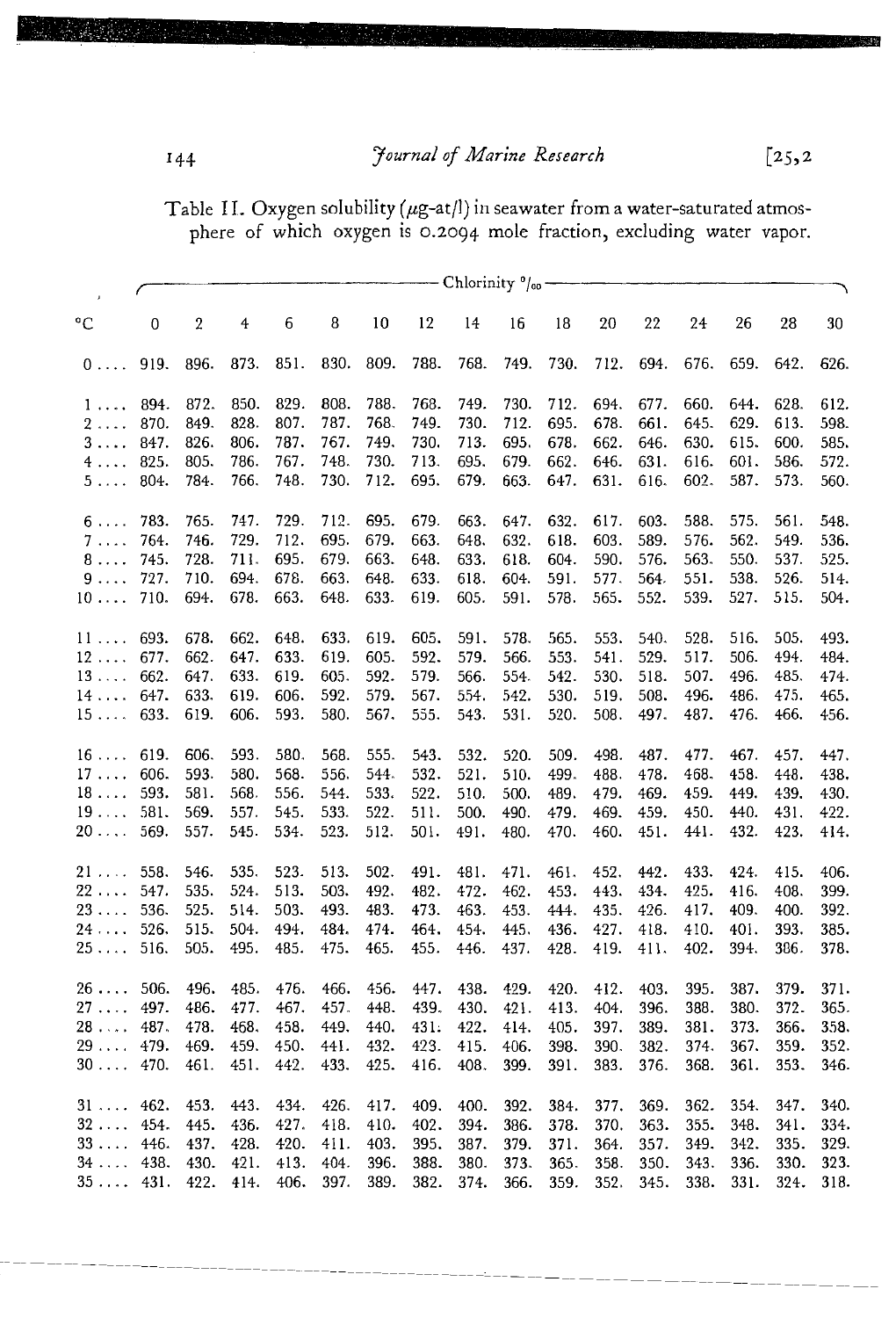Journal of Marine Research

 $[25,2]$ 

Table II. Oxygen solubility ( $\mu$ g-at/l) in seawater from a water-saturated atmos-<br>phere of which oxygen is 0.2094 mole fraction, excluding water vapor.

|                 | - Chlorinity %- |                  |      |      |      |      |      |      |      |      |      |      |      |      |      |      |
|-----------------|-----------------|------------------|------|------|------|------|------|------|------|------|------|------|------|------|------|------|
| $\rm ^{\circ}C$ | 0               | $\boldsymbol{2}$ | 4    | 6    | 8    | 10   | 12   | 14   | 16   | 18   | 20   | 22   | 24   | 26   | 28   | 30   |
| $0 \ldots$      | 919.            | 896.             | 873. | 851. | 830. | 809. | 788. | 768. | 749. | 730. | 712. | 694. | 676. | 659. | 642. | 626. |
| 1               | 894.            | 872.             | 850. | 829. | 808. | 788. | 768. | 749. | 730. | 712. | 694. | 677. | 660. | 644. | 628. | 612. |
| $2 \ldots$      | 870.            | 849.             | 828. | 807. | 787. | 768. | 749. | 730. | 712. | 695. | 678. | 661. | 645. | 629. | 613. | 598. |
| $3 \ldots$      | 847.            | 826.             | 806. | 787. | 767. | 749. | 730. | 713. | 695. | 678. | 662. | 646. | 630. | 615. | 600. | 585. |
| $4 \ldots$      | 825.            | 805.             | 786. | 767. | 748. | 730. | 713. | 695. | 679. | 662. | 646. | 631. | 616. | 601. | 586. | 572. |
| $5 \ldots$      | 804.            | 784.             | 766. | 748. | 730. | 712. | 695. | 679. | 663. | 647. | 631. | 616. | 602. | 587. | 573. | 560. |
| $6 \ldots$      | 783.            | 765.             | 747. | 729. | 712. | 695. | 679. | 663. | 647. | 632. | 617. | 603. | 588. | 575. | 561. | 548. |
| $7 \ldots$      | 764.            | 746.             | 729. | 712. | 695. | 679. | 663. | 648. | 632. | 618. | 603. | 589. | 576. | 562. | 549. | 536. |
| 8               | 745.            | 728.             | 711. | 695. | 679. | 663. | 648. | 633. | 618. | 604. | 590. | 576. | 563. | 550. | 537. | 525. |
| 9.              | 727.            | 710.             | 694. | 678. | 663. | 648. | 633. | 618. | 604. | 591. | 577. | 564. | 551. | 538. | 526. | 514. |
| $10 \ldots$     | 710.            | 694.             | 678. | 663. | 648. | 633. | 619. | 605. | 591. | 578. | 565. | 552. | 539. | 527. | 515. | 504. |
| 11              | 693.            | 678.             | 662. | 648. | 633. | 619. | 605. | 591. | 578. | 565. | 553. | 540. | 528. | 516. | 505. | 493. |
| $12 \ldots$     | 677.            | 662.             | 647. | 633. | 619. | 605. | 592. | 579. | 566. | 553. | 541. | 529. | 517. | 506. | 494. | 484. |
| 13              | 662.            | 647.             | 633. | 619. | 605. | 592. | 579. | 566. | 554. | 542. | 530. | 518. | 507. | 496. | 485. | 474. |
| 14              | 647.            | 633.             | 619. | 606. | 592. | 579. | 567. | 554. | 542. | 530. | 519. | 508. | 496. | 486. | 475. | 465. |
| 15              | 633.            | 619.             | 606. | 593. | 580. | 567. | 555. | 543. | 531. | 520. | 508. | 497. | 487. | 476. | 466. | 456. |
| $16 \ldots$     | 619.            | 606.             | 593. | 580. | 568. | 555. | 543. | 532. | 520. | 509. | 498. | 487. | 477. | 467. | 457. | 447. |
| $17 \ldots$     | 606.            | 593.             | 580. | 568. | 556. | 544. | 532. | 521. | 510. | 499. | 488. | 478. | 468. | 458. | 448. | 438. |
| $18 \ldots$     | 593.            | 581.             | 568. | 556. | 544. | 533. | 522. | 510. | 500. | 489. | 479. | 469. | 459. | 449. | 439. | 430. |
| $19 \ldots$     | 581.            | 569.             | 557. | 545. | 533. | 522. | 511. | 500. | 490. | 479. | 469. | 459. | 450. | 440. | 431. | 422. |
| $20 \ldots$     | 569.            | 557.             | 545. | 534. | 523. | 512. | 501. | 491. | 480. | 470. | 460. | 451. | 441. | 432. | 423. | 414. |
| $21 \ldots$     | 558.            | 546.             | 535. | 523. | 513. | 502. | 491. | 481. | 471. | 461. | 452. | 442. | 433. | 424. | 415. | 406. |
| $22 \ldots$     | 547.            | 535.             | 524. | 513. | 503. | 492. | 482. | 472. | 462. | 453. | 443. | 434. | 425. | 416. | 408. | 399. |
| $23 \ldots$     | 536.            | 525.             | 514. | 503. | 493. | 483. | 473. | 463. | 453. | 444. | 435. | 426. | 417. | 409. | 400. | 392. |
| 24              | 526.            | 515.             | 504. | 494. | 484. | 474. | 464. | 454. | 445. | 436. | 427. | 418. | 410. | 401. | 393. | 385. |
| $25 \ldots$     | 516.            | 505.             | 495. | 485. | 475. | 465. | 455. | 446. | 437. | 428. | 419. | 411. | 402. | 394. | 386. | 378. |
| 26              | 506.            | 496.             | 485. | 476. | 466. | 456. | 447. | 438. | 429. | 420. | 412. | 403. | 395. | 387. | 379. | 371. |
| $27 \ldots$     | 497.            | 486.             | 477. | 467. | 457. | 448. | 439. | 430. | 421. | 413. | 404. | 396. | 388. | 380. | 372. | 365. |
| 28              | 487.            | 478.             | 468. | 458. | 449. | 440. | 431: | 422. | 414. | 405. | 397. | 389. | 381. | 373. | 366. | 358. |
| 29              | 479.            | 469.             | 459. | 450. | 441. | 432. | 423. | 415. | 406. | 398. | 390. | 382. | 374. | 367. | 359. | 352. |
| $30\,\ldots$ .  | 470.            | 461.             | 451. | 442. | 433. | 425. | 416. | 408. | 399. | 391. | 383. | 376. | 368. | 361. | 353. | 346. |
| 31              | 462.            | 453.             | 443. | 434. | 426. | 417. | 409. | 400. | 392. | 384. | 377. | 369. | 362. | 354. | 347. | 340. |
| $32 \ldots$     | 454.            | 445.             | 436. | 427. | 418. | 410. | 402. | 394. | 386. | 378. | 370. | 363. | 355. | 348. | 341. | 334. |
| $33 \ldots$     | 446.            | 437.             | 428. | 420. | 411. | 403. | 395. | 387. | 379. | 371. | 364. | 357. | 349. | 342. | 335. | 329. |
| $34 \ldots$     | 438.            | 430.             | 421. | 413. | 404. | 396. | 388. | 380. | 373. | 365. | 358. | 350. | 343. | 336. | 330. | 323. |
| 35              | 431.            | 422.             | 414. | 406. | 397. | 389. | 382. | 374. | 366. | 359. | 352. | 345. | 338. | 331. | 324. | 318. |

 $144$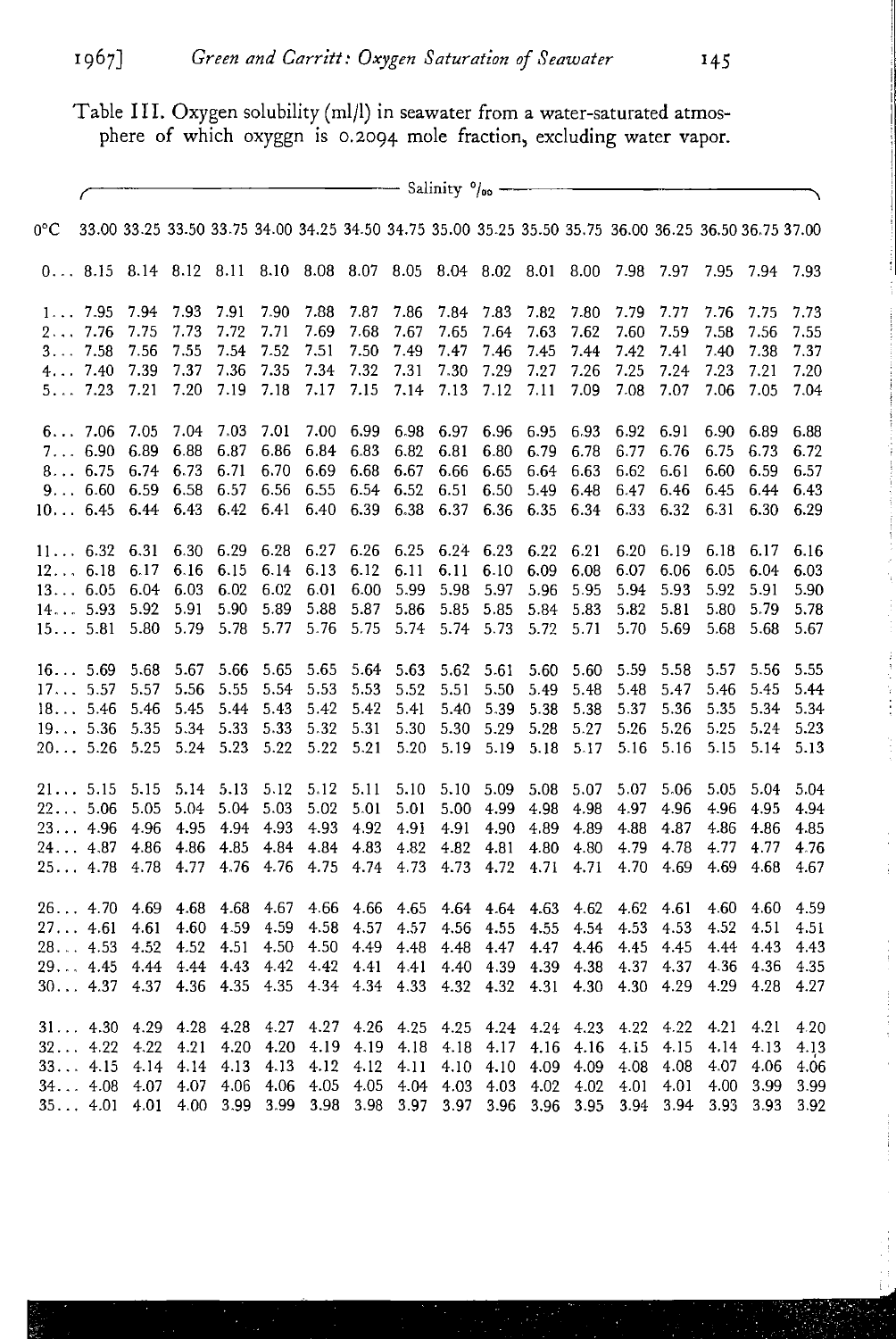Table III. Oxygen solubility (mIll) in seawater from a water-saturated atmosphere of which oxyggn is 0.2094 mole fraction, excluding water vapor.

|              | $\frac{1}{\sqrt{1-\frac{1}{2}}}\frac{1}{\sqrt{1-\frac{1}{2}}}\frac{1}{\sqrt{1-\frac{1}{2}}}\frac{1}{\sqrt{1-\frac{1}{2}}}\frac{1}{\sqrt{1-\frac{1}{2}}}\frac{1}{\sqrt{1-\frac{1}{2}}}\frac{1}{\sqrt{1-\frac{1}{2}}}\frac{1}{\sqrt{1-\frac{1}{2}}}\frac{1}{\sqrt{1-\frac{1}{2}}}\frac{1}{\sqrt{1-\frac{1}{2}}}\frac{1}{\sqrt{1-\frac{1}{2}}}\frac{1}{\sqrt{1-\frac{1}{2}}}\frac{1}{\sqrt{1-\frac{1}{2}}}\frac{1}{\sqrt{1-\frac{$ |           |           |      |      |                                                                                                       |      |                |                          |           |           |                     |           |           |      |           |      |
|--------------|---------------------------------------------------------------------------------------------------------------------------------------------------------------------------------------------------------------------------------------------------------------------------------------------------------------------------------------------------------------------------------------------------------------------------------|-----------|-----------|------|------|-------------------------------------------------------------------------------------------------------|------|----------------|--------------------------|-----------|-----------|---------------------|-----------|-----------|------|-----------|------|
| $0^{\circ}C$ |                                                                                                                                                                                                                                                                                                                                                                                                                                 |           |           |      |      | 33.00 33.25 33.50 33.75 34.00 34.25 34.50 34.75 35.00 35.25 35.50 35.75 36.00 36.25 36.50 36.75 37.00 |      |                |                          |           |           |                     |           |           |      |           |      |
|              |                                                                                                                                                                                                                                                                                                                                                                                                                                 |           |           |      |      | 0 8.15 8.14 8.12 8.11 8.10 8.08 8.07 8.05 8.04 8.02 8.01 8.00 7.98 7.97                               |      |                |                          |           |           |                     |           |           | 7.95 | 7.94 7.93 |      |
|              | $1 \ldots 7.95$                                                                                                                                                                                                                                                                                                                                                                                                                 | 7.94      | 7.93      | 7.91 | 7.90 | 7.88                                                                                                  | 7.87 | 7.86           | 7.84                     | 7.83      | 7.82      | 7.80                | 7.79      | 7.77      | 7.76 | 7.75      | 7.73 |
|              | 27.76                                                                                                                                                                                                                                                                                                                                                                                                                           | 7.75      | 7.73      | 7.72 | 7.71 | 7.69                                                                                                  | 7.68 | 7.67           | 7.65                     | 7.64      | 7.63      | 7.62                | 7.60      | 7.59      | 7.58 | 7.56      | 7.55 |
|              | 37.58                                                                                                                                                                                                                                                                                                                                                                                                                           | 7.56      | 7.55      | 7.54 | 7.52 | 7.51                                                                                                  | 7.50 | 7.49           | 7.47                     | 7.46      | 7.45      | 7.44                | 7.42      | 7.41      | 7.40 | 7.38      | 7.37 |
|              | 47.40                                                                                                                                                                                                                                                                                                                                                                                                                           | 7.39      | 7.37      | 7.36 | 7.35 | 7.34                                                                                                  | 7.32 | 7.31           | 7.30                     | 7.29      | 7.27      | 7.26                | 7.25      | 7.24      | 7.23 | 7.21      | 7.20 |
|              | 57.23                                                                                                                                                                                                                                                                                                                                                                                                                           | 7.21      | 7.20      | 7.19 | 7.18 | 7.17                                                                                                  | 7.15 | 7.14           | 7.13                     | 7.12      | 7.11      | 7.09                | 7.08      | 7.07      | 7.06 | 7.05      | 7.04 |
|              | 67.06                                                                                                                                                                                                                                                                                                                                                                                                                           | 7.05      | 7.04      | 7.03 | 7.01 | 7.00                                                                                                  | 6.99 | 6.98           |                          | 6.97 6.96 | 6.95      | 6.93                | 6.92      | 6.91      | 6.90 | 6.89      | 6.88 |
|              | 76.90                                                                                                                                                                                                                                                                                                                                                                                                                           | 6.89      | 6.88      | 6.87 | 6.86 | 6.84                                                                                                  | 6.83 | 6.82           | 6.81                     | 6.80      | 6.79      | 6.78                | 6.77      | 6.76      | 6.75 | 6.73      | 6.72 |
|              | 8 6.75                                                                                                                                                                                                                                                                                                                                                                                                                          | 6.74 6.73 |           | 6.71 | 6.70 | 6.69                                                                                                  | 6.68 | 6.67           | 6.66                     | 6.65      | 6.64      | 6.63                | 6.62      | 6.61      | 6.60 | 6.59      | 6.57 |
|              | 9 6.60                                                                                                                                                                                                                                                                                                                                                                                                                          | 6.59      | 6.58      | 6.57 | 6.56 | 6.55                                                                                                  | 6.54 | 6.52           | 6.51                     | 6.50      | 5.49      | 6.48                | 6.47      | 6.46      | 6.45 | 6.44      | 6.43 |
|              | 10 6.45                                                                                                                                                                                                                                                                                                                                                                                                                         |           | 6.44 6.43 | 6.42 | 6.41 | 6.40                                                                                                  | 6.39 | 6.38           | 6.37                     | 6.36      | 6.35      | 6.34                | 6.33      | 6.32      | 6.31 | 6.30      | 6.29 |
|              | 11 6.32 6.31 6.30 6.29 6.28                                                                                                                                                                                                                                                                                                                                                                                                     |           |           |      |      | 6.27                                                                                                  | 6.26 | 6.25           |                          | 6.24 6.23 | 6.22      | 6.21                | 6.20      | 6.19      | 6.18 | 6.17      | 6.16 |
|              | 12 6.18                                                                                                                                                                                                                                                                                                                                                                                                                         | 6.17      | 6.16      | 6.15 | 6.14 | 6.13                                                                                                  | 6.12 | 6.11           | 6.11                     | 6.10      | 6.09      | 6.08                | 6.07      | 6.06      | 6.05 | 6.04      | 6.03 |
|              | 13 6.05 6.04 6.03                                                                                                                                                                                                                                                                                                                                                                                                               |           |           | 6.02 | 6.02 | 6.01                                                                                                  | 6.00 | 5.99           | 5.98                     | 5.97      | 5.96      | 5.95                | 5.94      | 5.93      | 5.92 | 5.91      | 5.90 |
|              | 14 5.93 5.92                                                                                                                                                                                                                                                                                                                                                                                                                    |           | 5.91      | 5.90 | 5.89 | 5.88                                                                                                  |      | 5.87 5.86      |                          | 5.85 5.85 |           | 5.84 5.83           |           | 5.82 5.81 | 5.80 | 5.79      | 5.78 |
|              | 15 5.81 5.80                                                                                                                                                                                                                                                                                                                                                                                                                    |           | 5.79      | 5.78 | 5.77 | 5.76                                                                                                  | 5.75 |                | 5.74 5.74 5.73           |           | 5.72      | 5.71                | 5.70      | 5.69      | 5.68 | 5.68      | 5.67 |
|              | 16 5.69 5.68                                                                                                                                                                                                                                                                                                                                                                                                                    |           | 5.67      | 5.66 | 5.65 | 5.65                                                                                                  | 5.64 | 5.63           | 5.62                     | 5.61      | 5.60      | 5.60                | 5.59      | 5.58      | 5.57 | 5.56      | 5.55 |
|              | 175.57                                                                                                                                                                                                                                                                                                                                                                                                                          | 5.57      | 5.56      | 5.55 | 5.54 | 5.53                                                                                                  | 5.53 | 5.52           | 5.51                     | 5.50      | 5.49      | 5.48                | 5.48      | 5.47      | 5.46 | 5.45      | 5.44 |
|              | 18 5.46 5.46                                                                                                                                                                                                                                                                                                                                                                                                                    |           | 5.45      | 5.44 | 5.43 | 5.42                                                                                                  | 5.42 | 5.41           | 5.40                     | 5.39      | 5.38      | 5.38                | 5.37      | 5.36      | 5.35 | 5.34      | 5.34 |
|              | 19 5.36 5.35                                                                                                                                                                                                                                                                                                                                                                                                                    |           | 5.34      | 5.33 | 5.33 | 5.32                                                                                                  | 5.31 | 5.30           | 5.30                     | 5.29      | 5.28      | 5.27                | 5.26      | 5.26      | 5.25 | 5.24      | 5.23 |
|              | $20$ 5.26 5.25 5.24 5.23                                                                                                                                                                                                                                                                                                                                                                                                        |           |           |      | 5.22 | 5.22                                                                                                  | 5.21 | 5.20           |                          | 5.19 5.19 | 5.18      | 5.17                | 5.16      | 5.16      | 5.15 | 5.14      | 5.13 |
|              | 21 5.15 5.15 5.14 5.13                                                                                                                                                                                                                                                                                                                                                                                                          |           |           |      | 5.12 | 5.12                                                                                                  | 5.11 | 5.10           |                          |           |           | 5.10 5.09 5.08 5.07 | 5.07      | 5.06      | 5.05 | 5.04      | 5.04 |
|              | 225.06                                                                                                                                                                                                                                                                                                                                                                                                                          | 5.05      | 5.04      | 5.04 | 5.03 | 5.02                                                                                                  | 5.01 | 5.01           | 5.00                     | 4.99      | 4.98      | 4.98                | 4.97      | 4.96      | 4.96 | 4.95      | 4.94 |
|              | 234.96                                                                                                                                                                                                                                                                                                                                                                                                                          | 4.96      | 4.95      | 4.94 | 4.93 | 4.93                                                                                                  | 4.92 | 4.91           | 4.91                     |           | 4.90 4.89 | 4.89                | 4.88      | 4.87      | 4.86 | 4.86      | 4.85 |
|              | 244.87                                                                                                                                                                                                                                                                                                                                                                                                                          | 4.86      | 4.86      | 4.85 | 4.84 | 4.84                                                                                                  | 4.83 | 4.82           | 4.82                     | 4.81      | 4.80      | 4.80                | 4.79      | 4.78      | 4.77 | 4.77      | 4.76 |
|              | 254.78                                                                                                                                                                                                                                                                                                                                                                                                                          | 4.78      | 4.77      | 4.76 | 4.76 | 4.75                                                                                                  | 4.74 | 4.73           | 4.73                     | 4.72      | 4.71      | 4.71                | 4.70      | 4.69      | 4.69 | 4.68      | 4.67 |
|              | 264.70                                                                                                                                                                                                                                                                                                                                                                                                                          | 4.69      | -4.68     | 4.68 | 4.67 | 4.66                                                                                                  | 4.66 | 4.65           |                          | 4.64 4.64 | 4.63      | 4.62                | 4.62      | 4.61      | 4.60 | 4.60      | 4.59 |
|              | 27. 4.61                                                                                                                                                                                                                                                                                                                                                                                                                        | 4.61      | 4.60      | 4.59 | 4.59 | 4.58                                                                                                  | 4.57 | 4.57           | 4.56                     | 4.55      | 4.55      |                     | 4.54 4.53 | 4.53      | 4.52 | 4.51      | 4.51 |
|              | 28. 4.53                                                                                                                                                                                                                                                                                                                                                                                                                        | 4.52      | 4.52      | 4.51 | 4.50 | 4.50                                                                                                  | 4.49 | 4.48           | 4.48                     | 4.47      | 4.47      | 4.46                | 4.45      | 4.45      | 4.44 | 4.43      | 4.43 |
|              | 29. 4.45                                                                                                                                                                                                                                                                                                                                                                                                                        | 4.44      | 4.44      | 4.43 | 4.42 | 4.42                                                                                                  | 4.41 | 4.41           |                          | 4.40 4.39 | 4.39      | 4.38                | 4.37      | 4.37      | 4.36 | 4.36      | 4.35 |
|              | 304.374.37                                                                                                                                                                                                                                                                                                                                                                                                                      |           | 4.36      | 4.35 | 4.35 |                                                                                                       |      | 4.34 4.34 4.33 | 4.32                     | 4.32      | 4.31      | 4.30                | 4.30      | 4.29      | 4.29 | 4.28      | 4.27 |
|              | 314.30                                                                                                                                                                                                                                                                                                                                                                                                                          | 4.29      | 4.28      | 4.28 | 4.27 | 4.27                                                                                                  | 4.26 | 4.25           | 4.25                     |           |           | 4.24 4.24 4.23      | 4.22      | 4.22      | 4.21 | 4.21      | 4.20 |
|              | 324.22                                                                                                                                                                                                                                                                                                                                                                                                                          | 4.22      | 4.21      | 4.20 | 4.20 | 4.19                                                                                                  | 4.19 | 4.18           | 4.18                     | 4.17      | 4.16      | 4.16                | 4.15      | 4.15      | 4.14 | 4.13      | 4.13 |
|              | 334.15                                                                                                                                                                                                                                                                                                                                                                                                                          | 4.14      | 4.14      | 4.13 | 4.13 | 4.12                                                                                                  | 4.12 | 4.11           | 4.10                     |           |           | 4.10 4.09 4.09      | 4.08      | 4.08      | 4.07 | 4.06      | 4.06 |
|              | 344.08                                                                                                                                                                                                                                                                                                                                                                                                                          | 4.07      | 4.07      | 4.06 | 4.06 | 4.05                                                                                                  | 4.05 |                | 4.04 4.03 4.03           |           | 4.02      | 4.02                | 4.01      | 4.01      | 4.00 | 3.99      | 3.99 |
|              | 354.01                                                                                                                                                                                                                                                                                                                                                                                                                          | 4.01      | 4.00      | 3.99 |      | 3.99 3.98                                                                                             | 3.98 |                | 3.97 3.97 3.96 3.96 3.95 |           |           |                     | 3.94      | 3.94      | 3.93 | 3.93      | 3.92 |

 $\frac{1}{2}$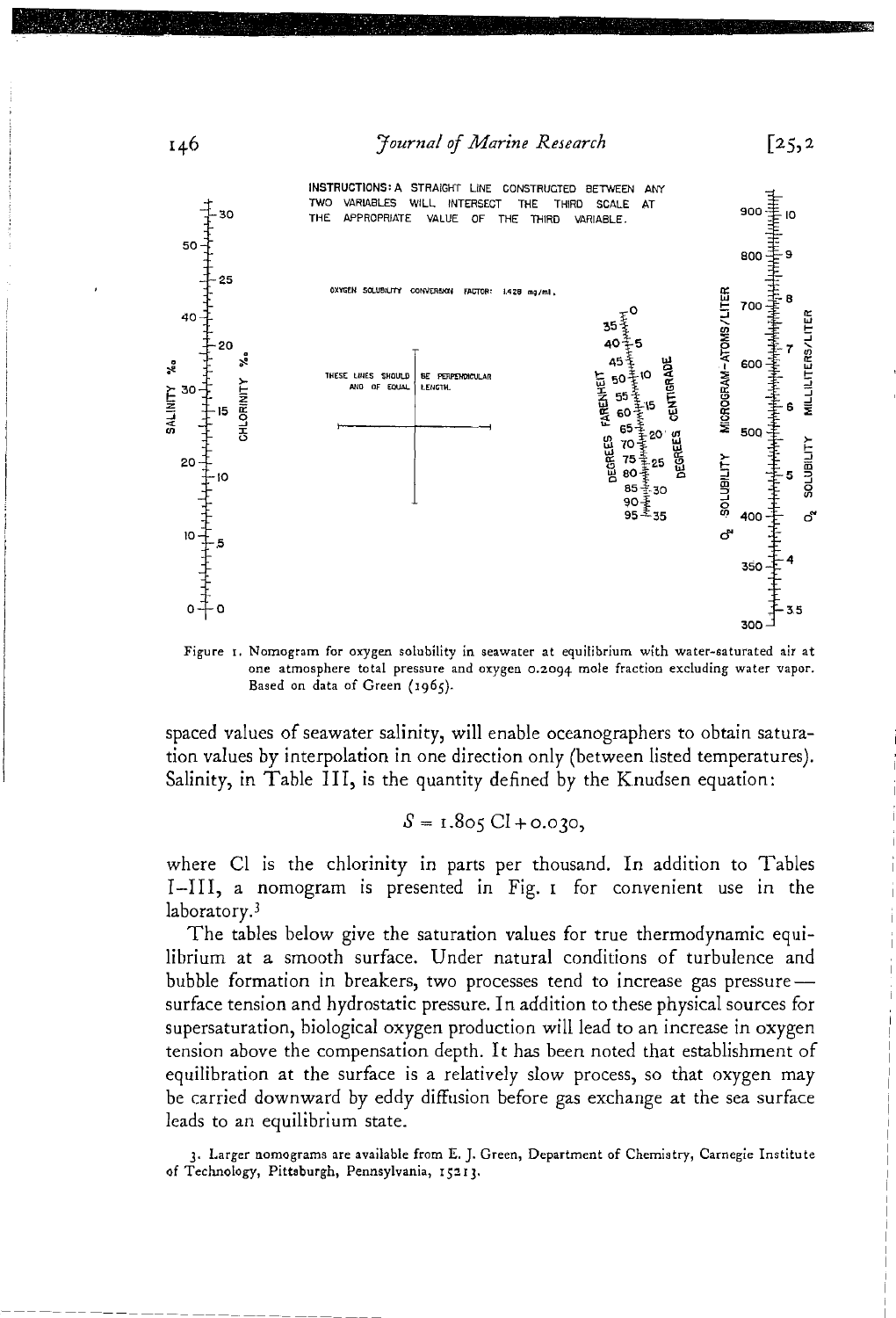**Fournal of Marine Research** 



Figure 1. Nomogram for oxygen solubility in seawater at equilibrium with water-saturated air at one atmosphere total pressure and oxygen 0.2094 mole fraction excluding water vapor. Based on data of Green (1965).

spaced values of seawater salinity, will enable oceanographers to obtain saturation values by interpolation in one direction only (between listed temperatures). Salinity, in Table III, is the quantity defined by the Knudsen equation:

 $S = 1.805 \text{ CI} + 0.030$ 

where Cl is the chlorinity in parts per thousand. In addition to Tables I-III, a nomogram is presented in Fig. I for convenient use in the laboratory.<sup>3</sup>

The tables below give the saturation values for true thermodynamic equilibrium at a smooth surface. Under natural conditions of turbulence and bubble formation in breakers, two processes tend to increase gas pressure surface tension and hydrostatic pressure. In addition to these physical sources for supersaturation, biological oxygen production will lead to an increase in oxygen tension above the compensation depth. It has been noted that establishment of equilibration at the surface is a relatively slow process, so that oxygen may be carried downward by eddy diffusion before gas exchange at the sea surface leads to an equilibrium state.

3. Larger nomograms are available from E. J. Green, Department of Chemistry, Carnegie Institute of Technology, Pittsburgh, Pennsylvania, 15213.



 $\sqrt{25,2}$